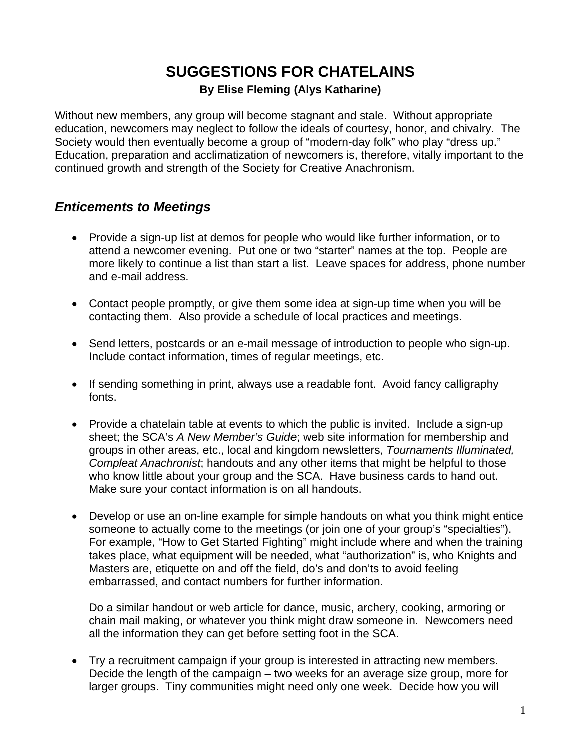# **SUGGESTIONS FOR CHATELAINS**

#### **By Elise Fleming (Alys Katharine)**

<span id="page-0-0"></span>Without new members, any group will become stagnant and stale. Without appropriate education, newcomers may neglect to follow the ideals of courtesy, honor, and chivalry. The Society would then eventually become a group of "modern-day folk" who play "dress up." Education, preparation and acclimatization of newcomers is, therefore, vitally important to the continued growth and strength of the Society for Creative Anachronism.

#### *Enticements to Meetings*

- Provide a sign-up list at demos for people who would like further information, or to attend a newcomer evening. Put one or two "starter" names at the top. People are more likely to continue a list than start a list. Leave spaces for address, phone number and e-mail address.
- Contact people promptly, or give them some idea at sign-up time when you will be contacting them. Also provide a schedule of local practices and meetings.
- Send letters, postcards or an e-mail message of introduction to people who sign-up. Include contact information, times of regular meetings, etc.
- If sending something in print, always use a readable font. Avoid fancy calligraphy fonts.
- Provide a chatelain table at events to which the public is invited. Include a sign-up sheet; the SCA's *A New Member's Guide*; web site information for membership and groups in other areas, etc., local and kingdom newsletters, *Tournaments Illuminated, Compleat Anachronist*; handouts and any other items that might be helpful to those who know little about your group and the SCA. Have business cards to hand out. Make sure your contact information is on all handouts.
- Develop or use an on-line example for simple handouts on what you think might entice someone to actually come to the meetings (or join one of your group's "specialties"). For example, "How to Get Started Fighting" might include where and when the training takes place, what equipment will be needed, what "authorization" is, who Knights and Masters are, etiquette on and off the field, do's and don'ts to avoid feeling embarrassed, and contact numbers for further information.

Do a similar handout or web article for dance, music, archery, cooking, armoring or chain mail making, or whatever you think might draw someone in. Newcomers need all the information they can get before setting foot in the SCA.

• Try a recruitment campaign if your group is interested in attracting new members. Decide the length of the campaign – two weeks for an average size group, more for larger groups. Tiny communities might need only one week. Decide how you will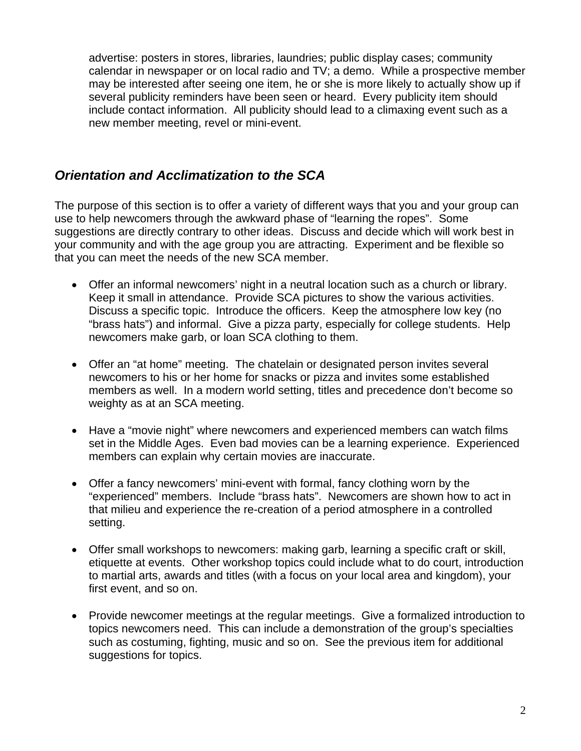<span id="page-1-0"></span>advertise: posters in stores, libraries, laundries; public display cases; community calendar in newspaper or on local radio and TV; a demo. While a prospective member may be interested after seeing one item, he or she is more likely to actually show up if several publicity reminders have been seen or heard. Every publicity item should include contact information. All publicity should lead to a climaxing event such as a new member meeting, revel or mini-event.

#### *Orientation and Acclimatization to the SCA*

The purpose of this section is to offer a variety of different ways that you and your group can use to help newcomers through the awkward phase of "learning the ropes". Some suggestions are directly contrary to other ideas. Discuss and decide which will work best in your community and with the age group you are attracting. Experiment and be flexible so that you can meet the needs of the new SCA member.

- Offer an informal newcomers' night in a neutral location such as a church or library. Keep it small in attendance. Provide SCA pictures to show the various activities. Discuss a specific topic. Introduce the officers. Keep the atmosphere low key (no "brass hats") and informal. Give a pizza party, especially for college students. Help newcomers make garb, or loan SCA clothing to them.
- Offer an "at home" meeting. The chatelain or designated person invites several newcomers to his or her home for snacks or pizza and invites some established members as well. In a modern world setting, titles and precedence don't become so weighty as at an SCA meeting.
- Have a "movie night" where newcomers and experienced members can watch films set in the Middle Ages. Even bad movies can be a learning experience. Experienced members can explain why certain movies are inaccurate.
- Offer a fancy newcomers' mini-event with formal, fancy clothing worn by the "experienced" members. Include "brass hats". Newcomers are shown how to act in that milieu and experience the re-creation of a period atmosphere in a controlled setting.
- Offer small workshops to newcomers: making garb, learning a specific craft or skill, etiquette at events. Other workshop topics could include what to do court, introduction to martial arts, awards and titles (with a focus on your local area and kingdom), your first event, and so on.
- Provide newcomer meetings at the regular meetings. Give a formalized introduction to topics newcomers need. This can include a demonstration of the group's specialties such as costuming, fighting, music and so on. See the previous item for additional suggestions for topics.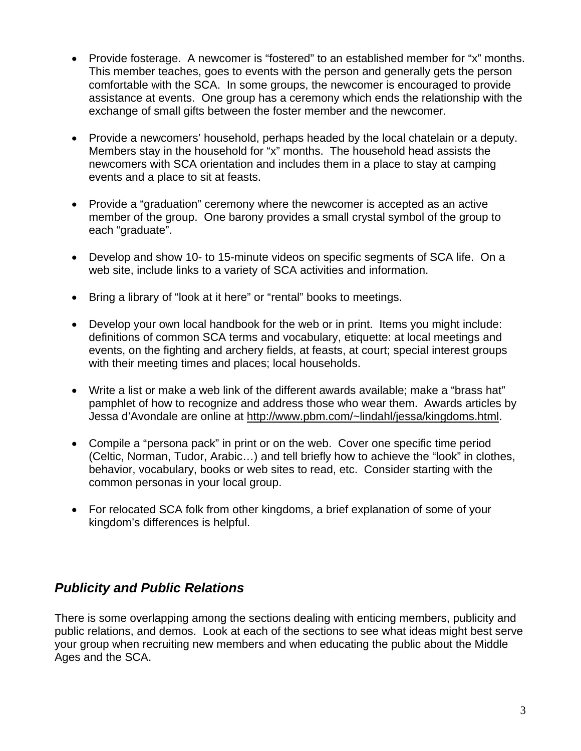- Provide fosterage. A newcomer is "fostered" to an established member for "x" months. This member teaches, goes to events with the person and generally gets the person comfortable with the SCA. In some groups, the newcomer is encouraged to provide assistance at events. One group has a ceremony which ends the relationship with the exchange of small gifts between the foster member and the newcomer.
- Provide a newcomers' household, perhaps headed by the local chatelain or a deputy. Members stay in the household for "x" months. The household head assists the newcomers with SCA orientation and includes them in a place to stay at camping events and a place to sit at feasts.
- Provide a "graduation" ceremony where the newcomer is accepted as an active member of the group. One barony provides a small crystal symbol of the group to each "graduate".
- Develop and show 10- to 15-minute videos on specific segments of SCA life. On a web site, include links to a variety of SCA activities and information.
- Bring a library of "look at it here" or "rental" books to meetings.
- Develop your own local handbook for the web or in print. Items you might include: definitions of common SCA terms and vocabulary, etiquette: at local meetings and events, on the fighting and archery fields, at feasts, at court; special interest groups with their meeting times and places; local households.
- Write a list or make a web link of the different awards available; make a "brass hat" pamphlet of how to recognize and address those who wear them. Awards articles by Jessa d'Avondale are online at [http://www.pbm.com/~lindahl/jessa/kingdoms.html](http://www.pbm.com/%7Elindahl/jessa/kingdoms.html).
- Compile a "persona pack" in print or on the web. Cover one specific time period (Celtic, Norman, Tudor, Arabic…) and tell briefly how to achieve the "look" in clothes, behavior, vocabulary, books or web sites to read, etc. Consider starting with the common personas in your local group.
- For relocated SCA folk from other kingdoms, a brief explanation of some of your kingdom's differences is helpful.

#### *Publicity and Public Relations*

There is some overlapping among the sections dealing with enticing members, publicity and public relations, and demos. Look at each of the sections to see what ideas might best serve your group when recruiting new members and when educating the public about the Middle Ages and the SCA.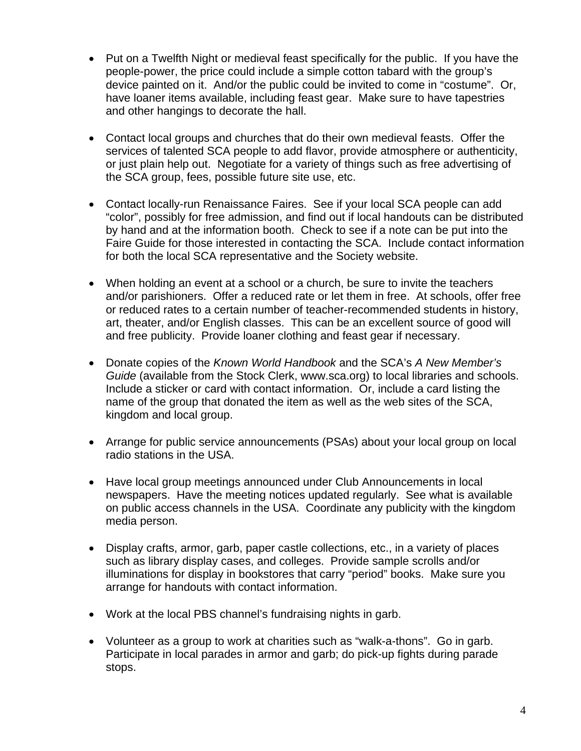- Put on a Twelfth Night or medieval feast specifically for the public. If you have the people-power, the price could include a simple cotton tabard with the group's device painted on it. And/or the public could be invited to come in "costume". Or, have loaner items available, including feast gear. Make sure to have tapestries and other hangings to decorate the hall.
- Contact local groups and churches that do their own medieval feasts. Offer the services of talented SCA people to add flavor, provide atmosphere or authenticity, or just plain help out. Negotiate for a variety of things such as free advertising of the SCA group, fees, possible future site use, etc.
- Contact locally-run Renaissance Faires. See if your local SCA people can add "color", possibly for free admission, and find out if local handouts can be distributed by hand and at the information booth. Check to see if a note can be put into the Faire Guide for those interested in contacting the SCA. Include contact information for both the local SCA representative and the Society website.
- When holding an event at a school or a church, be sure to invite the teachers and/or parishioners. Offer a reduced rate or let them in free. At schools, offer free or reduced rates to a certain number of teacher-recommended students in history, art, theater, and/or English classes. This can be an excellent source of good will and free publicity. Provide loaner clothing and feast gear if necessary.
- Donate copies of the *Known World Handbook* and the SCA's *A New Member's Guide* (available from the Stock Clerk, www.sca.org) to local libraries and schools. Include a sticker or card with contact information. Or, include a card listing the name of the group that donated the item as well as the web sites of the SCA, kingdom and local group.
- Arrange for public service announcements (PSAs) about your local group on local radio stations in the USA.
- Have local group meetings announced under Club Announcements in local newspapers. Have the meeting notices updated regularly. See what is available on public access channels in the USA. Coordinate any publicity with the kingdom media person.
- Display crafts, armor, garb, paper castle collections, etc., in a variety of places such as library display cases, and colleges. Provide sample scrolls and/or illuminations for display in bookstores that carry "period" books. Make sure you arrange for handouts with contact information.
- Work at the local PBS channel's fundraising nights in garb.
- Volunteer as a group to work at charities such as "walk-a-thons". Go in garb. Participate in local parades in armor and garb; do pick-up fights during parade stops.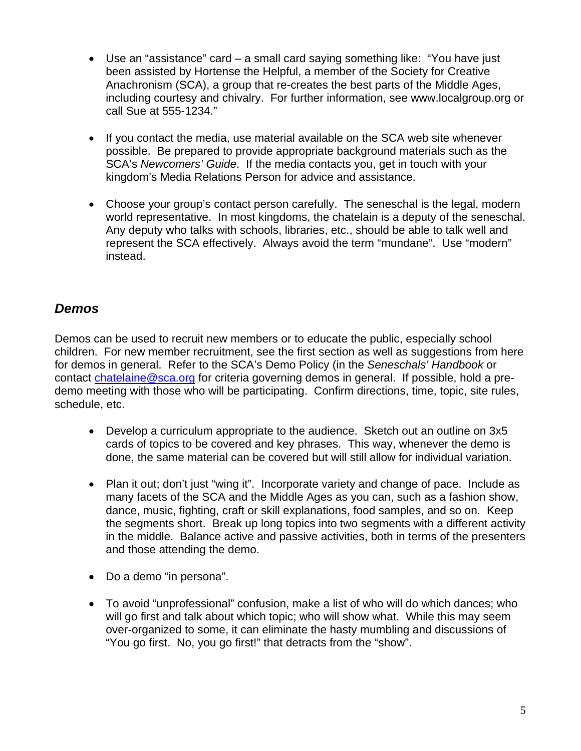- Use an "assistance" card a small card saying something like: "You have just been assisted by Hortense the Helpful, a member of the Society for Creative Anachronism (SCA), a group that re-creates the best parts of the Middle Ages, including courtesy and chivalry. For further information, see www.localgroup.org or call Sue at 555-1234."
- If you contact the media, use material available on the SCA web site whenever possible. Be prepared to provide appropriate background materials such as the SCA's *Newcomers' Guide*. If the media contacts you, get in touch with your kingdom's Media Relations Person for advice and assistance.
- Choose your group's contact person carefully. The seneschal is the legal, modern world representative. In most kingdoms, the chatelain is a deputy of the seneschal. Any deputy who talks with schools, libraries, etc., should be able to talk well and represent the SCA effectively. Always avoid the term "mundane". Use "modern" instead.

#### *Demos*

Demos can be used to recruit new members or to educate the public, especially school children. For new member recruitment, see the first section as well as suggestions from here for demos in general. Refer to the SCA's Demo Policy (in the *Seneschals' Handbook* or contact [chatelaine@sca.org](mailto:chatelaine@sca.org) for criteria governing demos in general. If possible, hold a predemo meeting with those who will be participating. Confirm directions, time, topic, site rules, schedule, etc.

- Develop a curriculum appropriate to the audience. Sketch out an outline on 3x5 cards of topics to be covered and key phrases. This way, whenever the demo is done, the same material can be covered but will still allow for individual variation.
- Plan it out; don't just "wing it". Incorporate variety and change of pace. Include as many facets of the SCA and the Middle Ages as you can, such as a fashion show, dance, music, fighting, craft or skill explanations, food samples, and so on. Keep the segments short. Break up long topics into two segments with a different activity in the middle. Balance active and passive activities, both in terms of the presenters and those attending the demo.
- Do a demo "in persona".
- To avoid "unprofessional" confusion, make a list of who will do which dances; who will go first and talk about which topic; who will show what. While this may seem over-organized to some, it can eliminate the hasty mumbling and discussions of "You go first. No, you go first!" that detracts from the "show".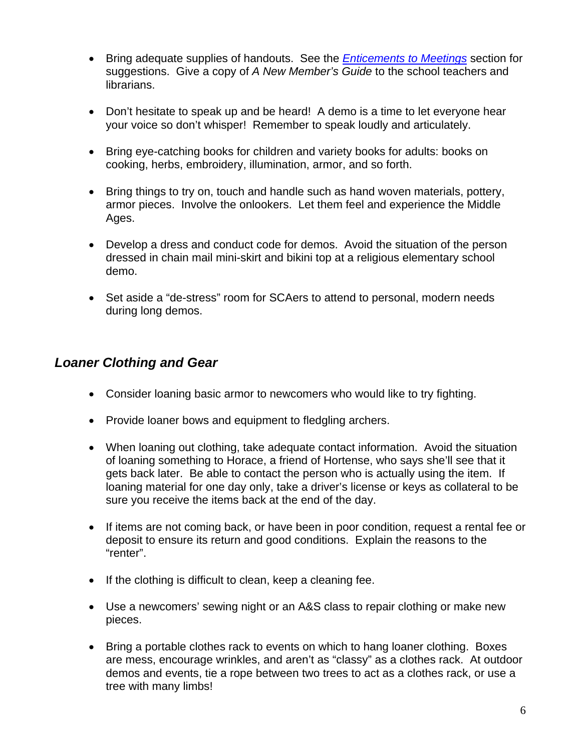- Bring adequate supplies of handouts. See the *[Enticements to Meetings](#page-0-0)* section for suggestions. Give a copy of *A New Member's Guide* to the school teachers and librarians.
- Don't hesitate to speak up and be heard! A demo is a time to let everyone hear your voice so don't whisper! Remember to speak loudly and articulately.
- Bring eye-catching books for children and variety books for adults: books on cooking, herbs, embroidery, illumination, armor, and so forth.
- Bring things to try on, touch and handle such as hand woven materials, pottery, armor pieces. Involve the onlookers. Let them feel and experience the Middle Ages.
- Develop a dress and conduct code for demos. Avoid the situation of the person dressed in chain mail mini-skirt and bikini top at a religious elementary school demo.
- Set aside a "de-stress" room for SCAers to attend to personal, modern needs during long demos.

## *Loaner Clothing and Gear*

- Consider loaning basic armor to newcomers who would like to try fighting.
- Provide loaner bows and equipment to fledgling archers.
- When loaning out clothing, take adequate contact information. Avoid the situation of loaning something to Horace, a friend of Hortense, who says she'll see that it gets back later. Be able to contact the person who is actually using the item. If loaning material for one day only, take a driver's license or keys as collateral to be sure you receive the items back at the end of the day.
- If items are not coming back, or have been in poor condition, request a rental fee or deposit to ensure its return and good conditions. Explain the reasons to the "renter".
- If the clothing is difficult to clean, keep a cleaning fee.
- Use a newcomers' sewing night or an A&S class to repair clothing or make new pieces.
- Bring a portable clothes rack to events on which to hang loaner clothing. Boxes are mess, encourage wrinkles, and aren't as "classy" as a clothes rack. At outdoor demos and events, tie a rope between two trees to act as a clothes rack, or use a tree with many limbs!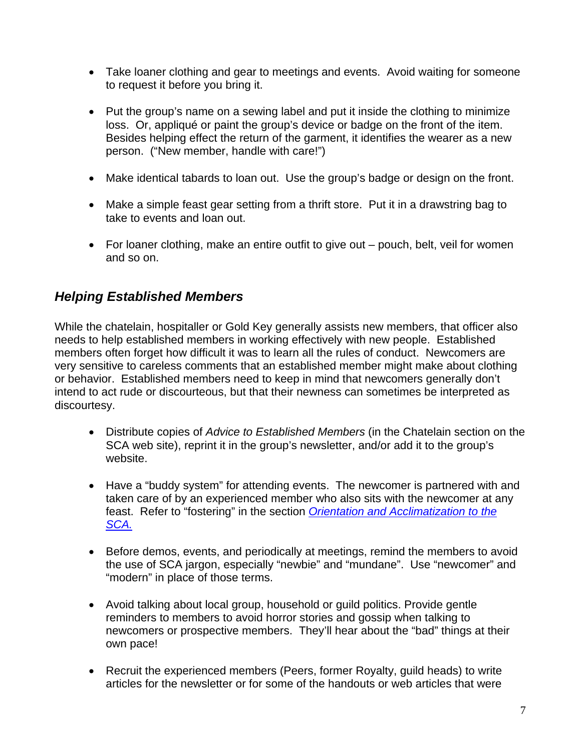- Take loaner clothing and gear to meetings and events. Avoid waiting for someone to request it before you bring it.
- Put the group's name on a sewing label and put it inside the clothing to minimize loss. Or, appliqué or paint the group's device or badge on the front of the item. Besides helping effect the return of the garment, it identifies the wearer as a new person. ("New member, handle with care!")
- Make identical tabards to loan out. Use the group's badge or design on the front.
- Make a simple feast gear setting from a thrift store. Put it in a drawstring bag to take to events and loan out.
- For loaner clothing, make an entire outfit to give out pouch, belt, veil for women and so on.

## *Helping Established Members*

While the chatelain, hospitaller or Gold Key generally assists new members, that officer also needs to help established members in working effectively with new people. Established members often forget how difficult it was to learn all the rules of conduct. Newcomers are very sensitive to careless comments that an established member might make about clothing or behavior. Established members need to keep in mind that newcomers generally don't intend to act rude or discourteous, but that their newness can sometimes be interpreted as discourtesy.

- Distribute copies of *Advice to Established Members* (in the Chatelain section on the SCA web site), reprint it in the group's newsletter, and/or add it to the group's website.
- Have a "buddy system" for attending events. The newcomer is partnered with and taken care of by an experienced member who also sits with the newcomer at any feast. Refer to "fostering" in the section *[Orientation and Acclimatization to the](#page-1-0)  [SCA.](#page-1-0)*
- Before demos, events, and periodically at meetings, remind the members to avoid the use of SCA jargon, especially "newbie" and "mundane". Use "newcomer" and "modern" in place of those terms.
- Avoid talking about local group, household or guild politics. Provide gentle reminders to members to avoid horror stories and gossip when talking to newcomers or prospective members. They'll hear about the "bad" things at their own pace!
- Recruit the experienced members (Peers, former Royalty, guild heads) to write articles for the newsletter or for some of the handouts or web articles that were